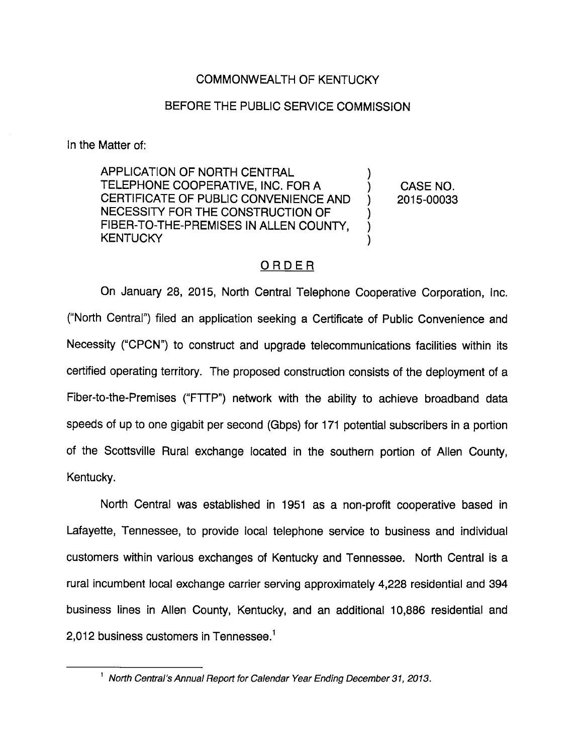# COMMONWEALTH OF KENTUCKY

### BEFORE THE PUBLIC SERVICE COMMISSION

In the Matter of:

APPLICATION OF NORTH CENTRAL TELEPHONE COOPERATIVE, INC. FOR A ) CASE NO. CERTIFICATE OF PUBLIC CONVENIENCE AND ) 2015-00033 NECESSITY FOR THE CONSTRUCTION OF FIBER-TO-THE-PREMISES IN ALLEN COUNTY, **KENTUCKY** 

## ORDER

On January 28, 2015, North Central Telephone Cooperative Corporation, Inc. ("North Central") filed an application seeking a Certificate of Public Convenience and Necessity ("CPCN") to construct and upgrade telecommunications facilities within its certified operating territory. The proposed construction consists of the deployment of a Fiber-to-the-Premises ("FTTP") network with the ability to achieve broadband data speeds of up to one gigabit per second (Gbps) for 171 potential subscribers in a portion of the Scottsville Rural exchange located in the southem portion of Allen County, Kentucky.

North Central was established in 1951 as a non-profit cooperative based in Lafayette, Tennessee, to provide local telephone service to business and individual customers within various exchanges of Kentucky and Tennessee. North Central is a rural incumbent local exchange carrier serving approximately 4,228 residential and 394 business lines in Allen County, Kentucky, and an additional 10,886 residential and 2,012 business customers in Tennessee. $<sup>1</sup>$ </sup>

 $<sup>1</sup>$  North Central's Annual Report for Calendar Year Ending December 31, 2013.</sup>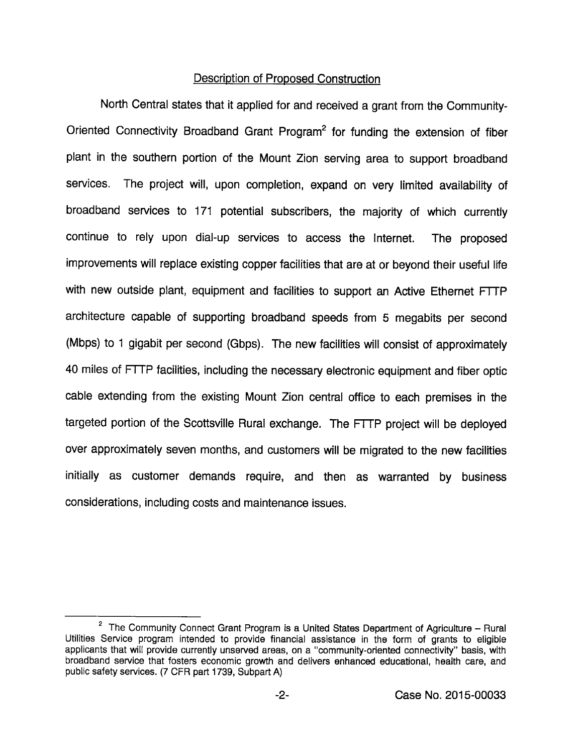### Description of Proposed Construction

North Central states that it applied for and received a grant from the Community-Oriented Connectivity Broadband Grant Program<sup>2</sup> for funding the extension of fiber plant in the southern portion of the Mount Zion serving area to support broadband services. The project will, upon completion, expand on very limited availability of broadband services to 171 potential subscribers, the majority of which currently continue to rely upon dial-up services to access the Internet. The proposed improvements will replace existing copper facilities that are at or beyond their useful life with new outside plant, equipment and facilities to support an Active Ethemet FTTP architecture capable of supporting broadband speeds from 5 megabits per second (Mbps) to 1 gigabit per second (Gbps). The new facilities will consist of approximately 40 miles of FTTP facilities, including the necessary electronic equipment and fiber optic cable extending from the existing Mount Zion central office to each premises in the targeted portion of the Scottsville Rural exchange. The FTTP project will be deployed over approximately seven months, and customers will be migrated to the new facilities initially as customer demands require, and then as warranted by business considerations, including costs and maintenance issues.

 $2$  The Community Connect Grant Program is a United States Department of Agriculture - Rural Utilities Service program intended to provide financial assistance in the form of grants to eligible applicants that will provide currently unserved areas, on a "community-oriented connectivity" basis, with broadband service that fosters economic growth and deiivers enhanced educationai, health care, and public safety services. (7 CFR part 1739, Subpart A)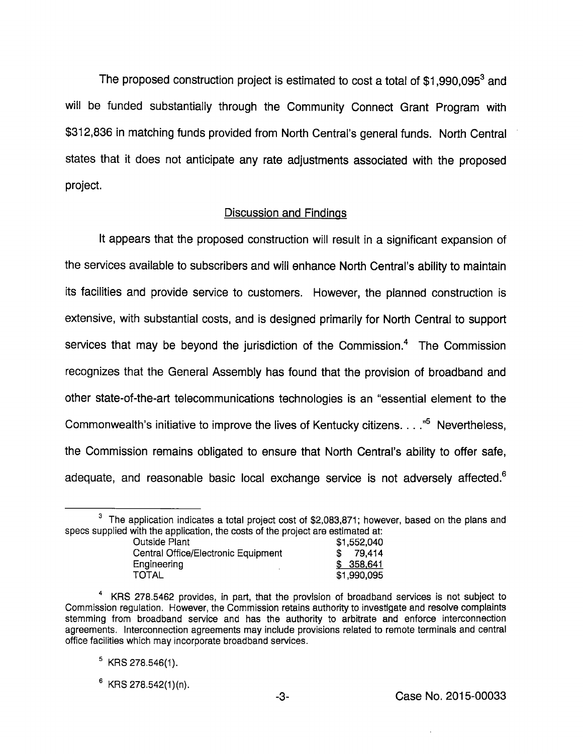The proposed construction project is estimated to cost a total of  $$1,990,095^3$  and will be funded substantially through the Community Connect Grant Program with \$312,836 in matching funds provided from North Central's general funds. North Central states that it does not anticipate any rate adjustments associated with the proposed project.

#### Discussion and Findings

It appears that the proposed construction will result in a significant expansion of the services available to subscribers and will enhance North Central's ability to maintain its facilities and provide service to customers. However, the planned construction is extensive, with substantial costs, and is designed primarily for North Central to support services that may be beyond the jurisdiction of the Commission.<sup>4</sup> The Commission recognizes that the General Assembly has found that the provision of broadband and other state-of-the-art telecommunications technologies is an "essential element to the Commonwealth's initiative to improve the lives of Kentucky citizens....<sup>5</sup> Nevertheless, the Commission remains obligated to ensure that North Central's ability to offer safe, adequate, and reasonable basic local exchange service is not adversely affected.<sup>6</sup>

 $3$  The application indicates a total project cost of \$2,083,871; however, based on the plans and specs supplied with the application, the costs of the project are estimated at:

| <b>Outside Plant</b>                | \$1,552,040 |
|-------------------------------------|-------------|
| Central Office/Electronic Equipment | \$79.414    |
| Engineering                         | \$358,641   |
| TOTAL                               | \$1,990,095 |

KRS 278.5462 provides, in part, that the provision of broadband services is not subject to Commission regulation. However, the Commission retains authority to investigate and resolve complaints stemming from broadband service and has the authority to arbitrate and enforce interconnection agreements. Interconnection agreements may include provisions related to remote terminals and central office facilities which may incorporate broadband services.

 $<sup>5</sup>$  KRS 278.546(1).</sup>

 $6$  KRS 278.542(1)(n).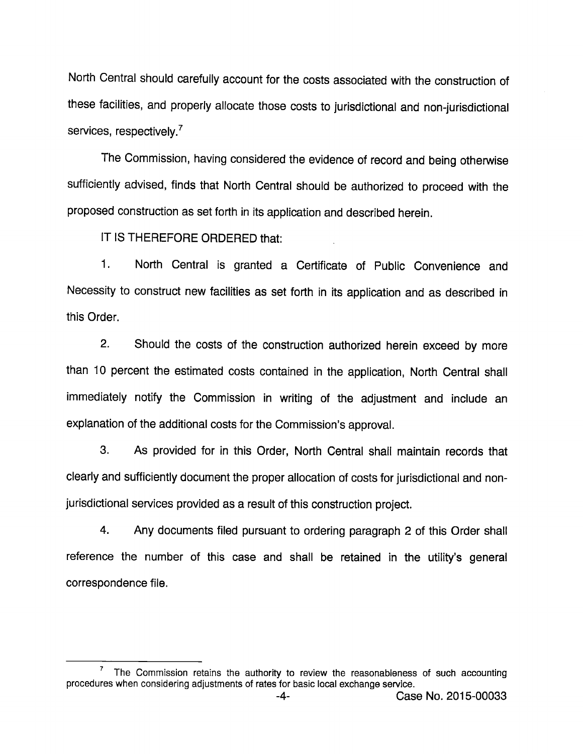North Central should carefully account for the costs associated with the construction of these facilities, and properly allocate those costs to jurisdictional and non-jurisdictional services, respectively.<sup>7</sup>

The Commission, having considered the evidence of record and being otherwise sufficiently advised, finds that North Central should be authorized to proceed with the proposed construction as set forth in its application and described herein.

IT IS THEREFORE ORDERED that:

1. North Central is granted a Certificate of Public Convenience and Necessity to construct new facilities as set forth in its application and as described in this Order.

2. Should the costs of the construction authorized herein exceed by more than 10 percent the estimated costs contained in the application, North Central shall immediately notify the Commission in writing of the adjustment and include an explanation of the additional costs for the Commission's approval.

3. As provided for in this Order, North Central shall maintain records that clearly and sufficiently document the proper allocation of costs for jurisdictional and nonjurisdictional services provided as a result of this construction project.

4. Any documents filed pursuant to ordering paragraph 2 of this Order shall reference the number of this case and shall be retained in the utility's general correspondence file.

The Commission retains the authority to review the reasonableness of such accounting procedures when considering adjustments of rates for basic local exchange service.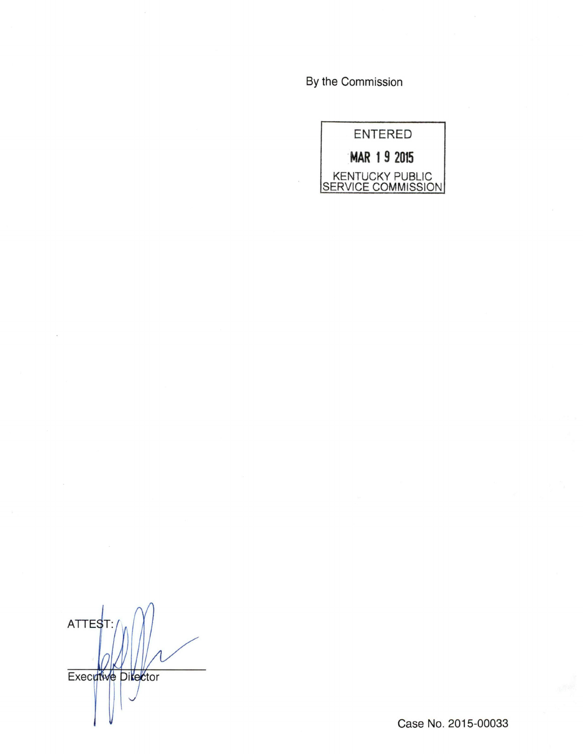By the Commission

ENTERED MAR 19 2015 KENTUCKY PUBLIC<br>SERVICE COMMISSION

**ATTEST** Executive Director

Case No. 2015-00033